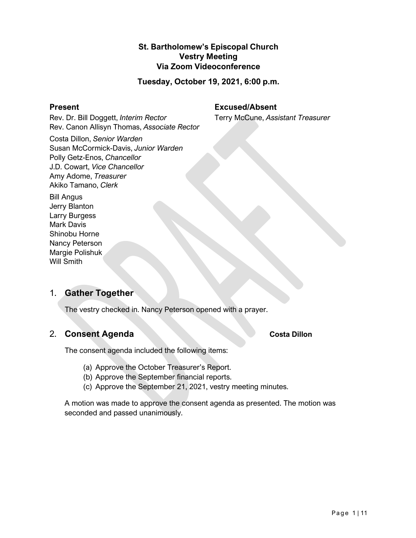# **St. Bartholomew's Episcopal Church Vestry Meeting Via Zoom Videoconference**

**Tuesday, October 19, 2021, 6:00 p.m.**

#### **Present**

**Excused/Absent**

Terry McCune, *Assistant Treasurer*

Rev. Dr. Bill Doggett, *Interim Rector* Rev. Canon Allisyn Thomas, *Associate Rector*

Costa Dillon, *Senior Warden* Susan McCormick-Davis, *Junior Warden* Polly Getz-Enos, *Chancellor* J.D. Cowart, *Vice Chancellor* Amy Adome, *Treasurer* Akiko Tamano, *Clerk*

Bill Angus Jerry Blanton Larry Burgess Mark Davis Shinobu Horne Nancy Peterson Margie Polishuk Will Smith

# 1. **Gather Together**

The vestry checked in. Nancy Peterson opened with a prayer.

# 2. **Consent Agenda Costa Dillon**

The consent agenda included the following items:

- (a) Approve the October Treasurer's Report.
- (b) Approve the September financial reports.
- (c) Approve the September 21, 2021, vestry meeting minutes.

A motion was made to approve the consent agenda as presented. The motion was seconded and passed unanimously.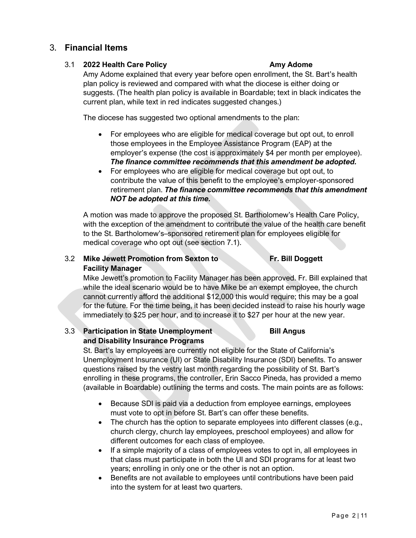# 3. **Financial Items**

# 3.1 **2022 Health Care Policy Amy Adome**

Amy Adome explained that every year before open enrollment, the St. Bart's health plan policy is reviewed and compared with what the diocese is either doing or suggests. (The health plan policy is available in Boardable; text in black indicates the current plan, while text in red indicates suggested changes.)

The diocese has suggested two optional amendments to the plan:

- For employees who are eligible for medical coverage but opt out, to enroll those employees in the Employee Assistance Program (EAP) at the employer's expense (the cost is approximately \$4 per month per employee). *The finance committee recommends that this amendment be adopted.*
- For employees who are eligible for medical coverage but opt out, to contribute the value of this benefit to the employee's employer-sponsored retirement plan. *The finance committee recommends that this amendment NOT be adopted at this time.*

A motion was made to approve the proposed St. Bartholomew's Health Care Policy, with the exception of the amendment to contribute the value of the health care benefit to the St. Bartholomew's–sponsored retirement plan for employees eligible for medical coverage who opt out (see section 7.1).

# 3.2 **Mike Jewett Promotion from Sexton to Fr. Bill Doggett Facility Manager**

Mike Jewett's promotion to Facility Manager has been approved. Fr. Bill explained that while the ideal scenario would be to have Mike be an exempt employee, the church cannot currently afford the additional \$12,000 this would require; this may be a goal for the future. For the time being, it has been decided instead to raise his hourly wage immediately to \$25 per hour, and to increase it to \$27 per hour at the new year.

# 3.3 **Participation in State Unemployment Bill Angus and Disability Insurance Programs**

St. Bart's lay employees are currently not eligible for the State of California's Unemployment Insurance (UI) or State Disability Insurance (SDI) benefits. To answer questions raised by the vestry last month regarding the possibility of St. Bart's enrolling in these programs, the controller, Erin Sacco Pineda, has provided a memo (available in Boardable) outlining the terms and costs. The main points are as follows:

- Because SDI is paid via a deduction from employee earnings, employees must vote to opt in before St. Bart's can offer these benefits.
- The church has the option to separate employees into different classes (e.g., church clergy, church lay employees, preschool employees) and allow for different outcomes for each class of employee.
- If a simple majority of a class of employees votes to opt in, all employees in that class must participate in both the UI and SDI programs for at least two years; enrolling in only one or the other is not an option.
- Benefits are not available to employees until contributions have been paid into the system for at least two quarters.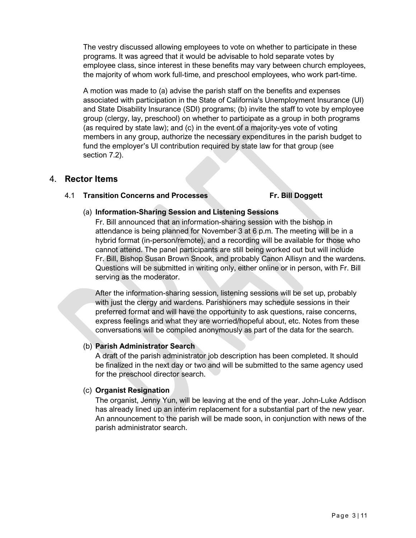The vestry discussed allowing employees to vote on whether to participate in these programs. It was agreed that it would be advisable to hold separate votes by employee class, since interest in these benefits may vary between church employees, the majority of whom work full-time, and preschool employees, who work part-time.

A motion was made to (a) advise the parish staff on the benefits and expenses associated with participation in the State of California's Unemployment Insurance (UI) and State Disability Insurance (SDI) programs; (b) invite the staff to vote by employee group (clergy, lay, preschool) on whether to participate as a group in both programs (as required by state law); and (c) in the event of a majority-yes vote of voting members in any group, authorize the necessary expenditures in the parish budget to fund the employer's UI contribution required by state law for that group (see section 7.2).

# 4. **Rector Items**

### 4.1 **Transition Concerns and Processes Fr. Bill Doggett**

### (a) **Information-Sharing Session and Listening Sessions**

Fr. Bill announced that an information-sharing session with the bishop in attendance is being planned for November 3 at 6 p.m. The meeting will be in a hybrid format (in-person/remote), and a recording will be available for those who cannot attend. The panel participants are still being worked out but will include Fr. Bill, Bishop Susan Brown Snook, and probably Canon Allisyn and the wardens. Questions will be submitted in writing only, either online or in person, with Fr. Bill serving as the moderator.

After the information-sharing session, listening sessions will be set up, probably with just the clergy and wardens. Parishioners may schedule sessions in their preferred format and will have the opportunity to ask questions, raise concerns, express feelings and what they are worried/hopeful about, etc. Notes from these conversations will be compiled anonymously as part of the data for the search.

### (b) **Parish Administrator Search**

A draft of the parish administrator job description has been completed. It should be finalized in the next day or two and will be submitted to the same agency used for the preschool director search.

# (c) **Organist Resignation**

The organist, Jenny Yun, will be leaving at the end of the year. John-Luke Addison has already lined up an interim replacement for a substantial part of the new year. An announcement to the parish will be made soon, in conjunction with news of the parish administrator search.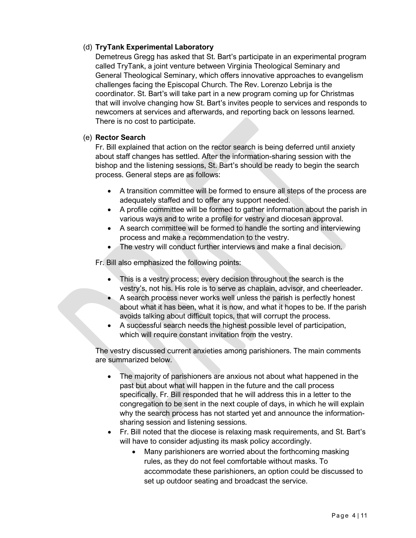# (d) **TryTank Experimental Laboratory**

Demetreus Gregg has asked that St. Bart's participate in an experimental program called TryTank, a joint venture between Virginia Theological Seminary and General Theological Seminary, which offers innovative approaches to evangelism challenges facing the Episcopal Church. The Rev. Lorenzo Lebrija is the coordinator. St. Bart's will take part in a new program coming up for Christmas that will involve changing how St. Bart's invites people to services and responds to newcomers at services and afterwards, and reporting back on lessons learned. There is no cost to participate.

### (e) **Rector Search**

Fr. Bill explained that action on the rector search is being deferred until anxiety about staff changes has settled. After the information-sharing session with the bishop and the listening sessions, St. Bart's should be ready to begin the search process. General steps are as follows:

- A transition committee will be formed to ensure all steps of the process are adequately staffed and to offer any support needed.
- A profile committee will be formed to gather information about the parish in various ways and to write a profile for vestry and diocesan approval.
- A search committee will be formed to handle the sorting and interviewing process and make a recommendation to the vestry.
- The vestry will conduct further interviews and make a final decision.

Fr. Bill also emphasized the following points:

- This is a vestry process; every decision throughout the search is the vestry's, not his. His role is to serve as chaplain, advisor, and cheerleader.
- A search process never works well unless the parish is perfectly honest about what it has been, what it is now, and what it hopes to be. If the parish avoids talking about difficult topics, that will corrupt the process.
- A successful search needs the highest possible level of participation, which will require constant invitation from the vestry.

The vestry discussed current anxieties among parishioners. The main comments are summarized below.

- The majority of parishioners are anxious not about what happened in the past but about what will happen in the future and the call process specifically. Fr. Bill responded that he will address this in a letter to the congregation to be sent in the next couple of days, in which he will explain why the search process has not started yet and announce the informationsharing session and listening sessions.
- Fr. Bill noted that the diocese is relaxing mask requirements, and St. Bart's will have to consider adjusting its mask policy accordingly.
	- Many parishioners are worried about the forthcoming masking rules, as they do not feel comfortable without masks. To accommodate these parishioners, an option could be discussed to set up outdoor seating and broadcast the service.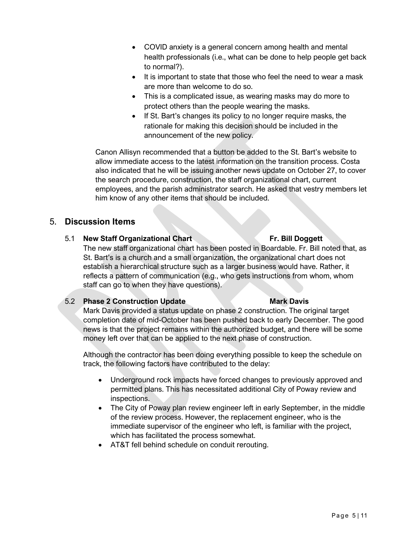- COVID anxiety is a general concern among health and mental health professionals (i.e., what can be done to help people get back to normal?).
- It is important to state that those who feel the need to wear a mask are more than welcome to do so.
- This is a complicated issue, as wearing masks may do more to protect others than the people wearing the masks.
- If St. Bart's changes its policy to no longer require masks, the rationale for making this decision should be included in the announcement of the new policy.

Canon Allisyn recommended that a button be added to the St. Bart's website to allow immediate access to the latest information on the transition process. Costa also indicated that he will be issuing another news update on October 27, to cover the search procedure, construction, the staff organizational chart, current employees, and the parish administrator search. He asked that vestry members let him know of any other items that should be included.

# 5. **Discussion Items**

# 5.1 **New Staff Organizational Chart Fr. Bill Doggett**

The new staff organizational chart has been posted in Boardable. Fr. Bill noted that, as St. Bart's is a church and a small organization, the organizational chart does not establish a hierarchical structure such as a larger business would have. Rather, it reflects a pattern of communication (e.g., who gets instructions from whom, whom staff can go to when they have questions).

### 5.2 **Phase 2 Construction Update Mark Davis**

# Mark Davis provided a status update on phase 2 construction. The original target completion date of mid-October has been pushed back to early December. The good news is that the project remains within the authorized budget, and there will be some money left over that can be applied to the next phase of construction.

Although the contractor has been doing everything possible to keep the schedule on track, the following factors have contributed to the delay:

- Underground rock impacts have forced changes to previously approved and permitted plans. This has necessitated additional City of Poway review and inspections.
- The City of Poway plan review engineer left in early September, in the middle of the review process. However, the replacement engineer, who is the immediate supervisor of the engineer who left, is familiar with the project, which has facilitated the process somewhat.
- AT&T fell behind schedule on conduit rerouting.

#### Page 5 | 11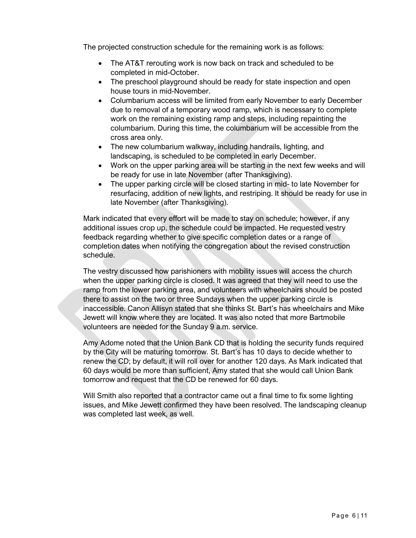The projected construction schedule for the remaining work is as follows:

- The AT&T rerouting work is now back on track and scheduled to be completed in mid-October.
- The preschool playground should be ready for state inspection and open house tours in mid-November.
- Columbarium access will be limited from early November to early December due to removal of a temporary wood ramp, which is necessary to complete work on the remaining existing ramp and steps, including repainting the columbarium. During this time, the columbarium will be accessible from the cross area only.
- The new columbarium walkway, including handrails, lighting, and landscaping, is scheduled to be completed in early December.
- Work on the upper parking area will be starting in the next few weeks and will be ready for use in late November (after Thanksgiving).
- The upper parking circle will be closed starting in mid- to late November for resurfacing, addition of new lights, and restriping. It should be ready for use in late November (after Thanksgiving).

Mark indicated that every effort will be made to stay on schedule; however, if any additional issues crop up, the schedule could be impacted. He requested vestry feedback regarding whether to give specific completion dates or a range of completion dates when notifying the congregation about the revised construction schedule.

The vestry discussed how parishioners with mobility issues will access the church when the upper parking circle is closed. It was agreed that they will need to use the ramp from the lower parking area, and volunteers with wheelchairs should be posted there to assist on the two or three Sundays when the upper parking circle is inaccessible. Canon Allisyn stated that she thinks St. Bart's has wheelchairs and Mike Jewett will know where they are located. It was also noted that more Bartmobile volunteers are needed for the Sunday 9 a.m. service.

Amy Adome noted that the Union Bank CD that is holding the security funds required by the City will be maturing tomorrow. St. Bart's has 10 days to decide whether to renew the CD; by default, it will roll over for another 120 days. As Mark indicated that 60 days would be more than sufficient, Amy stated that she would call Union Bank tomorrow and request that the CD be renewed for 60 days.

Will Smith also reported that a contractor came out a final time to fix some lighting issues, and Mike Jewett confirmed they have been resolved. The landscaping cleanup was completed last week, as well.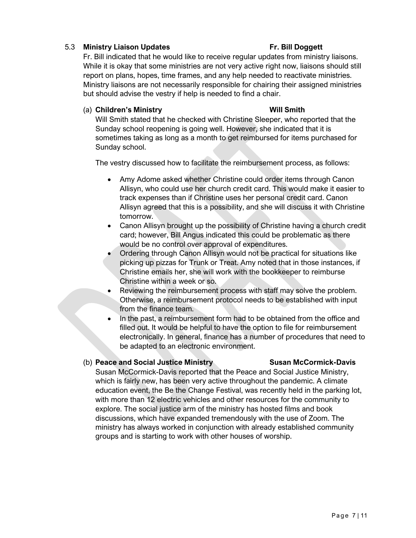# 5.3 **Ministry Liaison Updates Fr. Bill Doggett**

Fr. Bill indicated that he would like to receive regular updates from ministry liaisons. While it is okay that some ministries are not very active right now, liaisons should still report on plans, hopes, time frames, and any help needed to reactivate ministries. Ministry liaisons are not necessarily responsible for chairing their assigned ministries but should advise the vestry if help is needed to find a chair.

## (a) **Children's Ministry Will Smith**

Will Smith stated that he checked with Christine Sleeper, who reported that the Sunday school reopening is going well. However, she indicated that it is sometimes taking as long as a month to get reimbursed for items purchased for Sunday school.

The vestry discussed how to facilitate the reimbursement process, as follows:

- Amy Adome asked whether Christine could order items through Canon Allisyn, who could use her church credit card. This would make it easier to track expenses than if Christine uses her personal credit card. Canon Allisyn agreed that this is a possibility, and she will discuss it with Christine tomorrow.
- Canon Allisyn brought up the possibility of Christine having a church credit card; however, Bill Angus indicated this could be problematic as there would be no control over approval of expenditures.
- Ordering through Canon Allisyn would not be practical for situations like picking up pizzas for Trunk or Treat. Amy noted that in those instances, if Christine emails her, she will work with the bookkeeper to reimburse Christine within a week or so.
- Reviewing the reimbursement process with staff may solve the problem. Otherwise, a reimbursement protocol needs to be established with input from the finance team.
- In the past, a reimbursement form had to be obtained from the office and filled out. It would be helpful to have the option to file for reimbursement electronically. In general, finance has a number of procedures that need to be adapted to an electronic environment.

# (b) **Peace and Social Justice Ministry Susan McCormick-Davis**

Susan McCormick-Davis reported that the Peace and Social Justice Ministry, which is fairly new, has been very active throughout the pandemic. A climate education event, the Be the Change Festival, was recently held in the parking lot, with more than 12 electric vehicles and other resources for the community to explore. The social justice arm of the ministry has hosted films and book discussions, which have expanded tremendously with the use of Zoom. The ministry has always worked in conjunction with already established community groups and is starting to work with other houses of worship.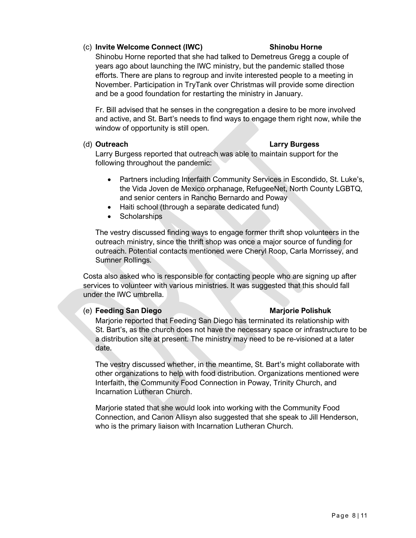# (c) **Invite Welcome Connect (IWC) Shinobu Horne**

Shinobu Horne reported that she had talked to Demetreus Gregg a couple of years ago about launching the IWC ministry, but the pandemic stalled those efforts. There are plans to regroup and invite interested people to a meeting in November. Participation in TryTank over Christmas will provide some direction and be a good foundation for restarting the ministry in January.

Fr. Bill advised that he senses in the congregation a desire to be more involved and active, and St. Bart's needs to find ways to engage them right now, while the window of opportunity is still open.

### (d) **Outreach Larry Burgess**

Larry Burgess reported that outreach was able to maintain support for the following throughout the pandemic:

- Partners including Interfaith Community Services in Escondido, St. Luke's, the Vida Joven de Mexico orphanage, RefugeeNet, North County LGBTQ, and senior centers in Rancho Bernardo and Poway
- Haiti school (through a separate dedicated fund)
- Scholarships

The vestry discussed finding ways to engage former thrift shop volunteers in the outreach ministry, since the thrift shop was once a major source of funding for outreach. Potential contacts mentioned were Cheryl Roop, Carla Morrissey, and Sumner Rollings.

Costa also asked who is responsible for contacting people who are signing up after services to volunteer with various ministries. It was suggested that this should fall under the IWC umbrella.

### (e) **Feeding San Diego Marjorie Polishuk**

Marjorie reported that Feeding San Diego has terminated its relationship with St. Bart's, as the church does not have the necessary space or infrastructure to be a distribution site at present. The ministry may need to be re-visioned at a later date.

The vestry discussed whether, in the meantime, St. Bart's might collaborate with other organizations to help with food distribution. Organizations mentioned were Interfaith, the Community Food Connection in Poway, Trinity Church, and Incarnation Lutheran Church.

Marjorie stated that she would look into working with the Community Food Connection, and Canon Allisyn also suggested that she speak to Jill Henderson, who is the primary liaison with Incarnation Lutheran Church.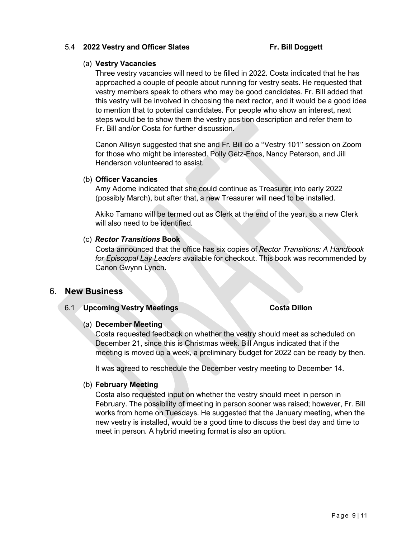#### 5.4 **2022 Vestry and Officer Slates Fr. Bill Doggett**

### (a) **Vestry Vacancies**

Three vestry vacancies will need to be filled in 2022. Costa indicated that he has approached a couple of people about running for vestry seats. He requested that vestry members speak to others who may be good candidates. Fr. Bill added that this vestry will be involved in choosing the next rector, and it would be a good idea to mention that to potential candidates. For people who show an interest, next steps would be to show them the vestry position description and refer them to Fr. Bill and/or Costa for further discussion.

Canon Allisyn suggested that she and Fr. Bill do a "Vestry 101" session on Zoom for those who might be interested. Polly Getz-Enos, Nancy Peterson, and Jill Henderson volunteered to assist.

#### (b) **Officer Vacancies**

Amy Adome indicated that she could continue as Treasurer into early 2022 (possibly March), but after that, a new Treasurer will need to be installed.

Akiko Tamano will be termed out as Clerk at the end of the year, so a new Clerk will also need to be identified.

### (c) *Rector Transitions* **Book**

Costa announced that the office has six copies of *Rector Transitions: A Handbook for Episcopal Lay Leaders* available for checkout. This book was recommended by Canon Gwynn Lynch.

# 6. **New Business**

### 6.1 **Upcoming Vestry Meetings Costa Dillon**

### (a) **December Meeting**

Costa requested feedback on whether the vestry should meet as scheduled on December 21, since this is Christmas week. Bill Angus indicated that if the meeting is moved up a week, a preliminary budget for 2022 can be ready by then.

It was agreed to reschedule the December vestry meeting to December 14.

### (b) **February Meeting**

Costa also requested input on whether the vestry should meet in person in February. The possibility of meeting in person sooner was raised; however, Fr. Bill works from home on Tuesdays. He suggested that the January meeting, when the new vestry is installed, would be a good time to discuss the best day and time to meet in person. A hybrid meeting format is also an option.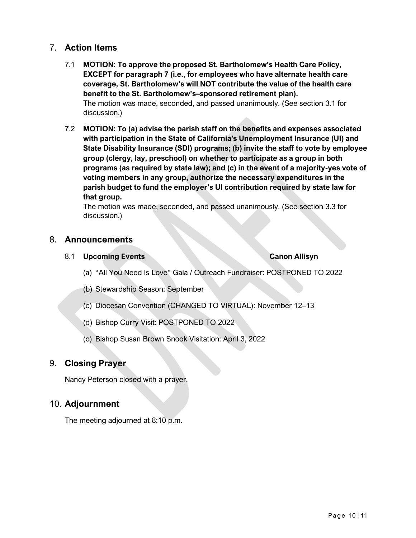# 7. **Action Items**

- 7.1 **MOTION: To approve the proposed St. Bartholomew's Health Care Policy, EXCEPT for paragraph 7 (i.e., for employees who have alternate health care coverage, St. Bartholomew's will NOT contribute the value of the health care benefit to the St. Bartholomew's–sponsored retirement plan).** The motion was made, seconded, and passed unanimously. (See section 3.1 for discussion.)
- 7.2 **MOTION: To (a) advise the parish staff on the benefits and expenses associated with participation in the State of California's Unemployment Insurance (UI) and State Disability Insurance (SDI) programs; (b) invite the staff to vote by employee group (clergy, lay, preschool) on whether to participate as a group in both programs (as required by state law); and (c) in the event of a majority-yes vote of voting members in any group, authorize the necessary expenditures in the parish budget to fund the employer's UI contribution required by state law for that group.**

The motion was made, seconded, and passed unanimously. (See section 3.3 for discussion.)

# 8. **Announcements**

8.1 **Upcoming Events Canon Allisyn**

- (a) "All You Need Is Love" Gala / Outreach Fundraiser: POSTPONED TO 2022
- (b) Stewardship Season: September
- (c) Diocesan Convention (CHANGED TO VIRTUAL): November 12–13
- (d) Bishop Curry Visit: POSTPONED TO 2022
- (c) Bishop Susan Brown Snook Visitation: April 3, 2022

# 9. **Closing Prayer**

Nancy Peterson closed with a prayer.

# 10. **Adjournment**

The meeting adjourned at 8:10 p.m.